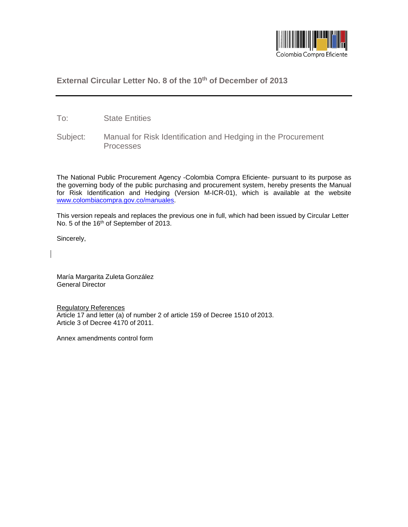

## **External Circular Letter No. 8 of the 10th of December of 2013**

- To: State Entities
- Subject: Manual for Risk Identification and Hedging in the Procurement Processes

The National Public Procurement Agency -Colombia Compra Eficiente- pursuant to its purpose as the governing body of the public purchasing and procurement system, hereby presents the Manual for Risk Identification and Hedging (Version M-ICR-01), which is available at the website [www.colombiacompra.gov.co/manuales.](http://www.colombiacompra.gov.co/manuales)

This version repeals and replaces the previous one in full, which had been issued by Circular Letter No. 5 of the 16<sup>th</sup> of September of 2013.

Sincerely,

María Margarita Zuleta González General Director

Regulatory References Article 17 and letter (a) of number 2 of article 159 of Decree 1510 of 2013. Article 3 of Decree 4170 of 2011.

Annex amendments control form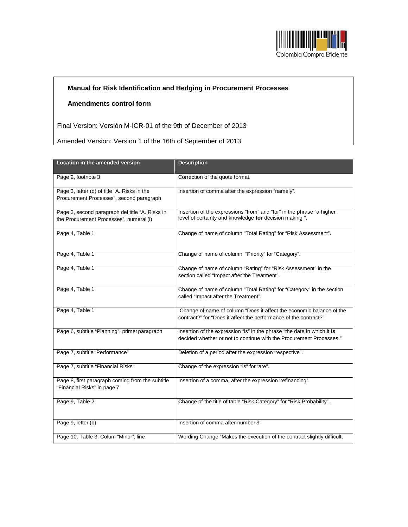

## **Manual for Risk Identification and Hedging in Procurement Processes**

## **Amendments control form**

Final Version: Versión M-ICR-01 of the 9th of December of 2013

Amended Version: Version 1 of the 16th of September of 2013

| <b>Location in the amended version</b>                                                     | <b>Description</b>                                                                                                                             |
|--------------------------------------------------------------------------------------------|------------------------------------------------------------------------------------------------------------------------------------------------|
| Page 2, footnote 3                                                                         | Correction of the quote format.                                                                                                                |
| Page 3, letter (d) of title "A. Risks in the<br>Procurement Processes", second paragraph   | Insertion of comma after the expression "namely".                                                                                              |
| Page 3, second paragraph del title "A. Risks in<br>the Procurement Processes", numeral (i) | Insertion of the expressions "from" and "for" in the phrase "a higher<br>level of certainty and knowledge for decision making".                |
| Page 4, Table 1                                                                            | Change of name of column "Total Rating" for "Risk Assessment".                                                                                 |
| Page 4, Table 1                                                                            | Change of name of column "Priority" for "Category".                                                                                            |
| Page 4, Table 1                                                                            | Change of name of column "Rating" for "Risk Assessment" in the<br>section called "Impact after the Treatment".                                 |
| Page 4, Table 1                                                                            | Change of name of column "Total Rating" for "Category" in the section<br>called "Impact after the Treatment".                                  |
| Page 4, Table 1                                                                            | Change of name of column "Does it affect the economic balance of the<br>contract?" for "Does it affect the performance of the contract?".      |
| Page 6, subtitle "Planning", primer paragraph                                              | Insertion of the expression "is" in the phrase "the date in which it is<br>decided whether or not to continue with the Procurement Processes." |
| Page 7, subtitle "Performance"                                                             | Deletion of a period after the expression "respective".                                                                                        |
| Page 7, subtitle "Financial Risks"                                                         | Change of the expression "is" for "are".                                                                                                       |
| Page 8, first paragraph coming from the subtitle<br>"Financial Risks" in page 7            | Insertion of a comma, after the expression "refinancing".                                                                                      |
| Page 9, Table 2                                                                            | Change of the title of table "Risk Category" for "Risk Probability".                                                                           |
| Page 9, letter (b)                                                                         | Insertion of comma after number 3.                                                                                                             |
| Page 10, Table 3, Colum "Minor", line                                                      | Wording Change "Makes the execution of the contract slightly difficult,                                                                        |